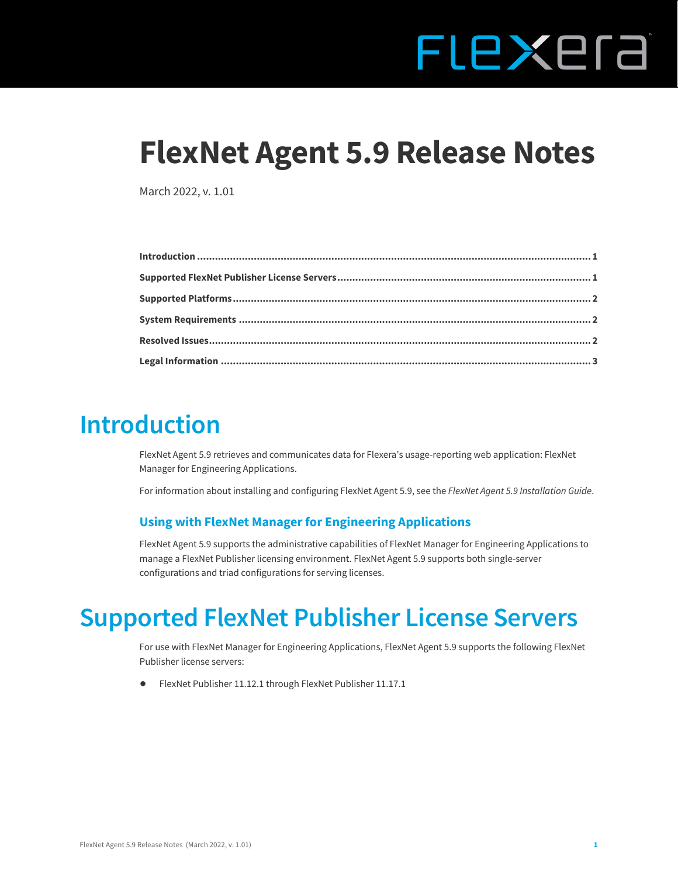# FLEXEra

## **FlexNet Agent 5.9 Release Notes**

March 2022, v. 1.01

### <span id="page-0-0"></span>**Introduction**

FlexNet Agent 5.9 retrieves and communicates data for Flexera's usage-reporting web application: FlexNet Manager for Engineering Applications.

For information about installing and configuring FlexNet Agent 5.9, see the *FlexNet Agent 5.9 Installation Guide*.

#### **Using with FlexNet Manager for Engineering Applications**

FlexNet Agent 5.9 supports the administrative capabilities of FlexNet Manager for Engineering Applications to manage a FlexNet Publisher licensing environment. FlexNet Agent 5.9 supports both single-server configurations and triad configurations for serving licenses.

### <span id="page-0-1"></span>**Supported FlexNet Publisher License Servers**

For use with FlexNet Manager for Engineering Applications, FlexNet Agent 5.9 supports the following FlexNet Publisher license servers:

**•** FlexNet Publisher 11.12.1 through FlexNet Publisher 11.17.1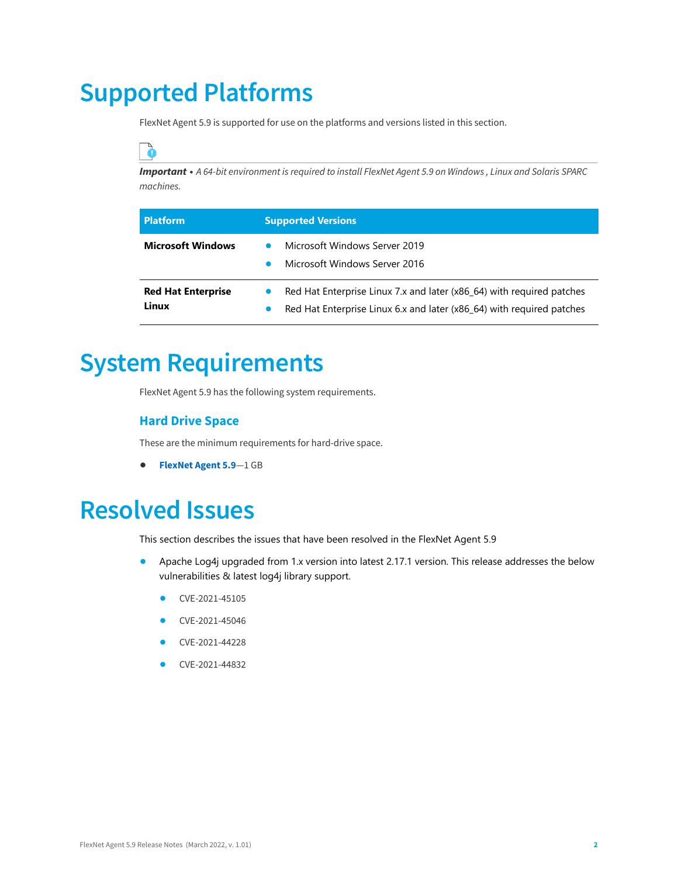### <span id="page-1-0"></span>**Supported Platforms**

FlexNet Agent 5.9 is supported for use on the platforms and versions listed in this section.

*Important • A 64-bit environment is required to install FlexNet Agent 5.9 on Windows , Linux and Solaris SPARC machines.*

| <b>Platform</b>                    | <b>Supported Versions</b>                                                                                                                      |  |
|------------------------------------|------------------------------------------------------------------------------------------------------------------------------------------------|--|
| <b>Microsoft Windows</b>           | Microsoft Windows Server 2019<br>Microsoft Windows Server 2016                                                                                 |  |
| <b>Red Hat Enterprise</b><br>Linux | Red Hat Enterprise Linux 7.x and later (x86_64) with required patches<br>Red Hat Enterprise Linux 6.x and later (x86 64) with required patches |  |

### <span id="page-1-1"></span>**System Requirements**

FlexNet Agent 5.9 has the following system requirements.

#### **Hard Drive Space**

These are the minimum requirements for hard-drive space.

**• FlexNet Agent 5.9**—1 GB

### <span id="page-1-2"></span>**Resolved Issues**

This section describes the issues that have been resolved in the FlexNet Agent 5.9

- Apache Log4j upgraded from 1.x version into latest 2.17.1 version. This release addresses the below vulnerabilities & latest log4j library support.
	- **•** [CVE-2021-45105](https://cve.mitre.org/cgi-bin/cvename.cgi?name=CVE-2021-45105)
	- **•** [CVE-2021-45046](https://cve.mitre.org/cgi-bin/cvename.cgi?name=CVE-2021-45046)
	- **•** [CVE-2021-44228](https://cve.mitre.org/cgi-bin/cvename.cgi?name=CVE-2021-44228)
	- **•** [CVE-2021-44832](https://cve.mitre.org/cgi-bin/cvekey.cgi?keyword=CVE-2021-44832)